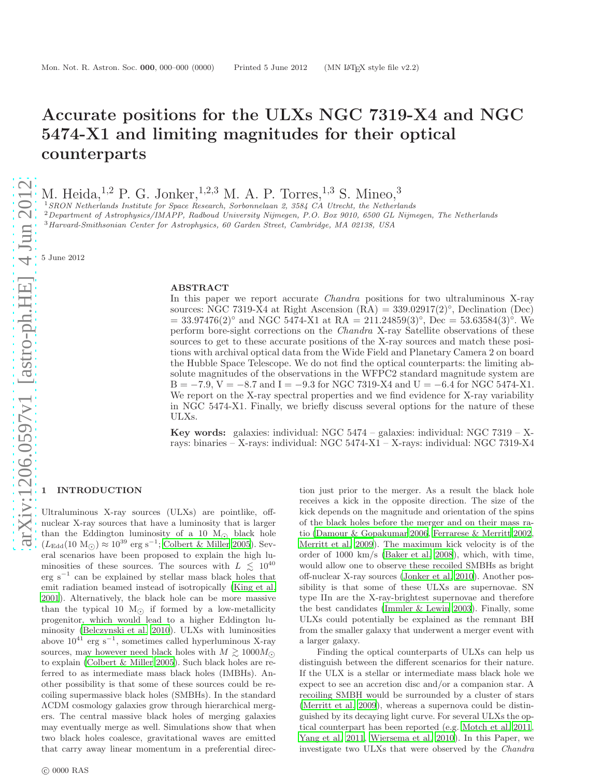# Accurate positions for the ULXs NGC 7319-X4 and NGC 5474-X1 and limiting magnitudes for their optical counterparts

M. Heida,  $^{1,2}$  P. G. Jonker,  $^{1,2,3}$  M. A. P. Torres,  $^{1,3}$  S. Mineo,  $^3$ 

<sup>1</sup>*SRON Netherlands Institute for Space Research, Sorbonnelaan 2, 3584 CA Utrecht, the Netherlands*

<sup>2</sup>*Department of Astrophysics/IMAPP, Radboud University Nijmegen, P.O. Box 9010, 6500 GL Nijmegen, The Netherlands*

<sup>3</sup>*Harvard-Smithsonian Center for Astrophysics, 60 Garden Street, Cambridge, MA 02138, USA*

5 June 2012

#### ABSTRACT

In this paper we report accurate Chandra positions for two ultraluminous X-ray sources: NGC 7319-X4 at Right Ascension  $(RA) = 339.02917(2)°$ , Declination  $(Dec)$  $= 33.97476(2)°$  and NGC 5474-X1 at RA  $= 211.24859(3)°$ , Dec  $= 53.63584(3)°$ . We perform bore-sight corrections on the Chandra X-ray Satellite observations of these sources to get to these accurate positions of the X-ray sources and match these positions with archival optical data from the Wide Field and Planetary Camera 2 on board the Hubble Space Telescope. We do not find the optical counterparts: the limiting absolute magnitudes of the observations in the WFPC2 standard magnitude system are  $B = -7.9$ ,  $V = -8.7$  and  $I = -9.3$  for NGC 7319-X4 and  $U = -6.4$  for NGC 5474-X1. We report on the X-ray spectral properties and we find evidence for X-ray variability in NGC 5474-X1. Finally, we briefly discuss several options for the nature of these ULXs.

Key words: galaxies: individual: NGC 5474 – galaxies: individual: NGC 7319 – Xrays: binaries – X-rays: individual: NGC 5474-X1 – X-rays: individual: NGC 7319-X4

## **INTRODUCTION**

Ultraluminous X-ray sources (ULXs) are pointlike, offnuclear X-ray sources that have a luminosity that is larger than the Eddington luminosity of a 10  $M_{\odot}$  black hole  $(L_{\text{Edd}}(10 \text{ M}_{\odot})) \approx 10^{39} \text{ erg s}^{-1}$ ; [Colbert & Miller 2005](#page-7-0)). Sev-<br>see la serge la seu have nous seed to a problem that high high eral scenarios have been proposed to explain the high luminosities of these sources. The sources with  $L \leq 10^{40}$ erg s<sup>−</sup><sup>1</sup> can be explained by stellar mass black holes that emit radiation beamed instead of isotropically [\(King et al.](#page-7-1) [2001](#page-7-1)). Alternatively, the black hole can be more massive than the typical 10  $M_{\odot}$  if formed by a low-metallicity progenitor, which would lead to a higher Eddington luminosity [\(Belczynski et al. 2010](#page-7-2)). ULXs with luminosities above  $10^{41}$  erg s<sup>-1</sup>, sometimes called hyperluminous X-ray sources, may however need black holes with  $M \gtrsim 1000 M_{\odot}$ to explain [\(Colbert & Miller 2005](#page-7-0)). Such black holes are referred to as intermediate mass black holes (IMBHs). Another possibility is that some of these sources could be recoiling supermassive black holes (SMBHs). In the standard ΛCDM cosmology galaxies grow through hierarchical mergers. The central massive black holes of merging galaxies may eventually merge as well. Simulations show that when two black holes coalesce, gravitational waves are emitted that carry away linear momentum in a preferential direction just prior to the merger. As a result the black hole receives a kick in the opposite direction. The size of the kick depends on the magnitude and orientation of the spins of the black holes before the merger and on their mass ratio [\(Damour & Gopakumar 2006](#page-7-3), [Ferrarese & Merritt 2002](#page-7-4), [Merritt et al. 2009](#page-7-5)). The maximum kick velocity is of the order of 1000 km/s [\(Baker et al. 2008\)](#page-7-6), which, with time, would allow one to observe these recoiled SMBHs as bright off-nuclear X-ray sources [\(Jonker et al. 2010](#page-7-7)). Another possibility is that some of these ULXs are supernovae. SN type IIn are the X-ray-brightest supernovae and therefore the best candidates [\(Immler & Lewin 2003](#page-7-8)). Finally, some ULXs could potentially be explained as the remnant BH from the smaller galaxy that underwent a merger event with a larger galaxy.

Finding the optical counterparts of ULXs can help us distinguish between the different scenarios for their nature. If the ULX is a stellar or intermediate mass black hole we expect to see an accretion disc and/or a companion star. A recoiling SMBH would be surrounded by a cluster of stars [\(Merritt et al. 2009\)](#page-7-5), whereas a supernova could be distinguished by its decaying light curve. For several ULXs the optical counterpart has been reported (e.g. [Motch et al. 2011](#page-7-9), [Yang et al. 2011](#page-7-10), [Wiersema et al. 2010](#page-7-11)). In this Paper, we investigate two ULXs that were observed by the Chandra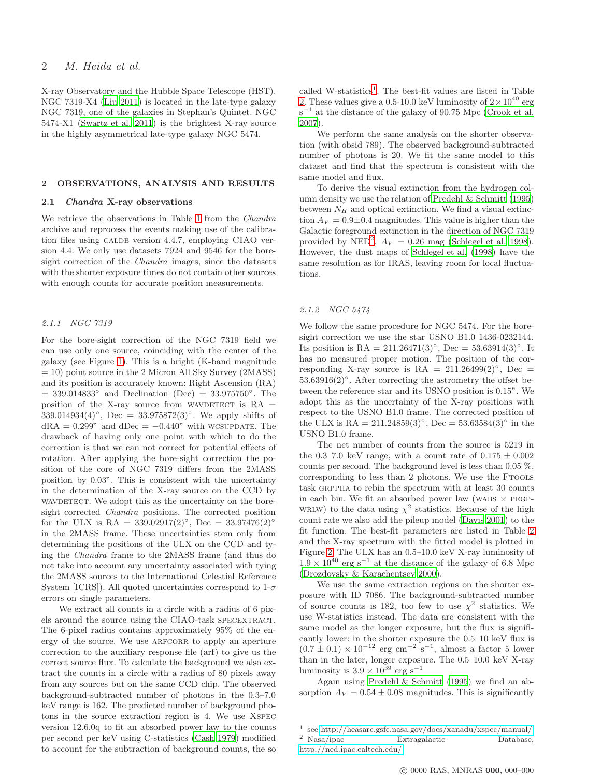## 2 M. Heida et al.

X-ray Observatory and the Hubble Space Telescope (HST). NGC 7319-X4 [\(Liu 2011\)](#page-7-12) is located in the late-type galaxy NGC 7319, one of the galaxies in Stephan's Quintet. NGC 5474-X1 [\(Swartz et al. 2011\)](#page-7-13) is the brightest X-ray source in the highly asymmetrical late-type galaxy NGC 5474.

## 2 OBSERVATIONS, ANALYSIS AND RESULTS

#### 2.1 Chandra X-ray observations

We retrieve the observations in Table [1](#page-2-0) from the *Chandra* archive and reprocess the events making use of the calibration files using CALDB version 4.4.7, employing CIAO version 4.4. We only use datasets 7924 and 9546 for the boresight correction of the *Chandra* images, since the datasets with the shorter exposure times do not contain other sources with enough counts for accurate position measurements.

#### 2.1.1 NGC 7319

For the bore-sight correction of the NGC 7319 field we can use only one source, coinciding with the center of the galaxy (see Figure [1\)](#page-2-1). This is a bright (K-band magnitude = 10) point source in the 2 Micron All Sky Survey (2MASS) and its position is accurately known: Right Ascension (RA)  $= 339.014833°$  and Declination (Dec)  $= 33.975750°$ . The position of the X-ray source from WAVDETECT is  $RA =$  $339.014934(4)°$ , Dec =  $33.975872(3)°$ . We apply shifts of  $dRA = 0.299$ " and  $dDec = -0.440$ " with WCSUPDATE. The drawback of having only one point with which to do the correction is that we can not correct for potential effects of rotation. After applying the bore-sight correction the position of the core of NGC 7319 differs from the 2MASS position by 0.03". This is consistent with the uncertainty in the determination of the X-ray source on the CCD by WAVDETECT. We adopt this as the uncertainty on the boresight corrected Chandra positions. The corrected position for the ULX is RA =  $339.02917(2)°$ , Dec =  $33.97476(2)°$ in the 2MASS frame. These uncertainties stem only from determining the positions of the ULX on the CCD and tying the Chandra frame to the 2MASS frame (and thus do not take into account any uncertainty associated with tying the 2MASS sources to the International Celestial Reference System [ICRS]). All quoted uncertainties correspond to  $1-\sigma$ errors on single parameters.

We extract all counts in a circle with a radius of 6 pixels around the source using the CIAO-task specextract. The 6-pixel radius contains approximately 95% of the energy of the source. We use ARFCORR to apply an aperture correction to the auxiliary response file (arf) to give us the correct source flux. To calculate the background we also extract the counts in a circle with a radius of 80 pixels away from any sources but on the same CCD chip. The observed background-subtracted number of photons in the 0.3–7.0 keV range is 162. The predicted number of background photons in the source extraction region is 4. We use Xspec version 12.6.0q to fit an absorbed power law to the counts per second per keV using C-statistics [\(Cash 1979\)](#page-7-14) modified to account for the subtraction of background counts, the so

called W-statistics<sup>[1](#page-1-0)</sup>. The best-fit values are listed in Table [2.](#page-3-0) These values give a 0.5-10.0 keV luminosity of  $2 \times 10^{40}$  erg s<sup>-1</sup> at the distance of the galaxy of 90.75 Mpc [\(Crook et al.](#page-7-15) [2007](#page-7-15)).

We perform the same analysis on the shorter observation (with obsid 789). The observed background-subtracted number of photons is 20. We fit the same model to this dataset and find that the spectrum is consistent with the same model and flux.

To derive the visual extinction from the hydrogen column density we use the relation of [Predehl & Schmitt \(1995](#page-7-16)) between  $N_H$  and optical extinction. We find a visual extinction  $A_V = 0.9 \pm 0.4$  magnitudes. This value is higher than the Galactic foreground extinction in the direction of NGC 7319 provided by NED<sup>[2](#page-1-1)</sup>,  $A_V = 0.26$  mag [\(Schlegel et al. 1998](#page-7-17)). However, the dust maps of [Schlegel et al. \(1998\)](#page-7-17) have the same resolution as for IRAS, leaving room for local fluctuations.

#### 2.1.2 NGC 5474

We follow the same procedure for NGC 5474. For the boresight correction we use the star USNO B1.0 1436-0232144. Its position is RA =  $211.26471(3)°$ , Dec =  $53.63914(3)°$ . It has no measured proper motion. The position of the corresponding X-ray source is  $RA = 211.26499(2)°$ , Dec = 53.63916(2)°. After correcting the astrometry the offset between the reference star and its USNO position is 0.15". We adopt this as the uncertainty of the X-ray positions with respect to the USNO B1.0 frame. The corrected position of the ULX is RA =  $211.24859(3)°$ , Dec =  $53.63584(3)°$  in the USNO B1.0 frame.

The net number of counts from the source is 5219 in the 0.3–7.0 keV range, with a count rate of  $0.175 \pm 0.002$ counts per second. The background level is less than 0.05 %, corresponding to less than 2 photons. We use the FTOOLS task grppha to rebin the spectrum with at least 30 counts in each bin. We fit an absorbed power law (WABS  $\times$  PEGP-WRLW) to the data using  $\chi^2$  statistics. Because of the high count rate we also add the pileup model [\(Davis 2001](#page-7-18)) to the fit function. The best-fit parameters are listed in Table [2](#page-3-0) and the X-ray spectrum with the fitted model is plotted in Figure [2.](#page-3-1) The ULX has an 0.5–10.0 keV X-ray luminosity of  $1.9 \times 10^{40}$  erg s<sup>−1</sup> at the distance of the galaxy of 6.8 Mpc [\(Drozdovsky & Karachentsev 2000](#page-7-19)).

We use the same extraction regions on the shorter exposure with ID 7086. The background-subtracted number of source counts is 182, too few to use  $\chi^2$  statistics. We use W-statistics instead. The data are consistent with the same model as the longer exposure, but the flux is significantly lower: in the shorter exposure the 0.5–10 keV flux is  $(0.7 \pm 0.1) \times 10^{-12}$  erg cm<sup>-2</sup> s<sup>-1</sup>, almost a factor 5 lower than in the later, longer exposure. The 0.5–10.0 keV X-ray luminosity is  $3.9\times10^{39}~\rm erg~s^{-1}$ 

Again using [Predehl & Schmitt \(1995\)](#page-7-16) we find an absorption  $A_V = 0.54 \pm 0.08$  magnitudes. This is significantly

<span id="page-1-1"></span><span id="page-1-0"></span><sup>1</sup> see<http://heasarc.gsfc.nasa.gov/docs/xanadu/xspec/manual/> <sup>2</sup> Nasa/ipac Extragalactic Database, <http://ned.ipac.caltech.edu/>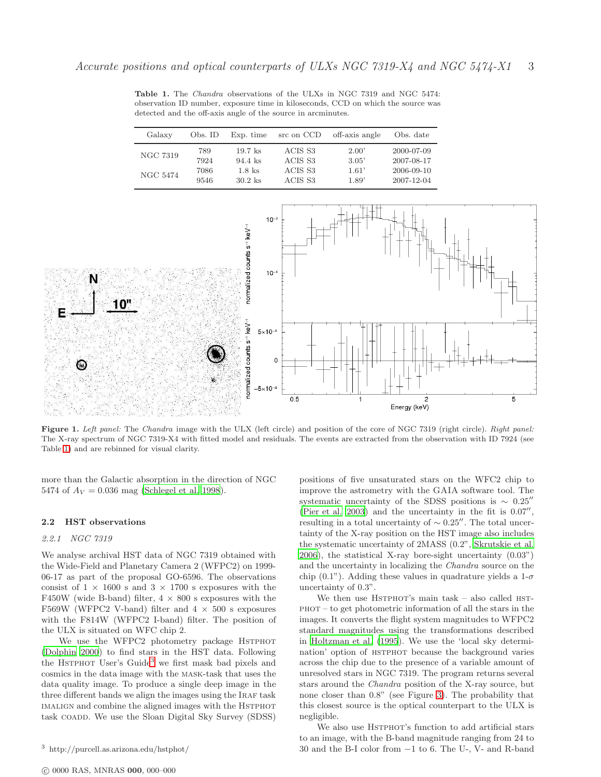<span id="page-2-0"></span>Table 1. The *Chandra* observations of the ULXs in NGC 7319 and NGC 5474: observation ID number, exposure time in kiloseconds, CCD on which the source was detected and the off-axis angle of the source in arcminutes.

| Galaxy   | Obs. ID | Exp. time | src on CCD | off-axis angle | Obs. date  |
|----------|---------|-----------|------------|----------------|------------|
| NGC 7319 | 789     | $19.7$ ks | ACIS S3    | 2.00'          | 2000-07-09 |
|          | 7924    | $94.4$ ks | ACIS S3    | 3.05'          | 2007-08-17 |
| NGC 5474 | 7086    | $1.8$ ks  | ACIS S3    | 1.61'          | 2006-09-10 |
|          | 9546    | $30.2$ ks | ACIS S3    | 1.89'          | 2007-12-04 |

<span id="page-2-1"></span>

Figure 1. *Left panel:* The *Chandra* image with the ULX (left circle) and position of the core of NGC 7319 (right circle). *Right panel:* The X-ray spectrum of NGC 7319-X4 with fitted model and residuals. The events are extracted from the observation with ID 7924 (see Table [1\)](#page-2-0) and are rebinned for visual clarity.

more than the Galactic absorption in the direction of NGC 5474 of  $A_V = 0.036$  mag [\(Schlegel et al. 1998](#page-7-17)).

#### 2.2 HST observations

## 2.2.1 NGC 7319

We analyse archival HST data of NGC 7319 obtained with the Wide-Field and Planetary Camera 2 (WFPC2) on 1999- 06-17 as part of the proposal GO-6596. The observations consist of  $1 \times 1600$  s and  $3 \times 1700$  s exposures with the F450W (wide B-band) filter,  $4 \times 800$  s exposures with the F569W (WFPC2 V-band) filter and  $4 \times 500$  s exposures with the F814W (WFPC2 I-band) filter. The position of the ULX is situated on WFC chip 2.

We use the WFPC2 photometry package HSTPHOT [\(Dolphin 2000\)](#page-7-20) to find stars in the HST data. Following the HSTPHOT User's Guide<sup>[3](#page-2-2)</sup> we first mask bad pixels and cosmics in the data image with the mask-task that uses the data quality image. To produce a single deep image in the three different bands we align the images using the IRAF task IMALIGN and combine the aligned images with the HSTPHOT task COADD. We use the Sloan Digital Sky Survey (SDSS)

positions of five unsaturated stars on the WFC2 chip to improve the astrometry with the GAIA software tool. The systematic uncertainty of the SDSS positions is <sup>∼</sup> <sup>0</sup>.25′′ [\(Pier et al. 2003\)](#page-7-21) and the uncertainty in the fit is 0.07′′ , resulting in a total uncertainty of  $\sim 0.25''$ . The total uncertainty of the X-ray position on the HST image also includes the systematic uncertainty of 2MASS (0.2", [Skrutskie et al.](#page-7-22) [2006](#page-7-22)), the statistical X-ray bore-sight uncertainty (0.03") and the uncertainty in localizing the Chandra source on the chip (0.1"). Adding these values in quadrature yields a  $1-\sigma$ uncertainty of 0.3".

We then use  $HSTPHOT's$  main task – also called  $HST-HOT's$  $PHOT - to get photometric information of all the stars in the$ images. It converts the flight system magnitudes to WFPC2 standard magnitudes using the transformations described in [Holtzman et al. \(1995\)](#page-7-23). We use the 'local sky determination' option of HSTPHOT because the background varies across the chip due to the presence of a variable amount of unresolved stars in NGC 7319. The program returns several stars around the Chandra position of the X-ray source, but none closer than 0.8" (see Figure [3\)](#page-4-0). The probability that this closest source is the optical counterpart to the ULX is negligible.

We also use HSTPHOT's function to add artificial stars to an image, with the B-band magnitude ranging from 24 to 30 and the B-I color from −1 to 6. The U-, V- and R-band

<span id="page-2-2"></span><sup>3</sup> http://purcell.as.arizona.edu/hstphot/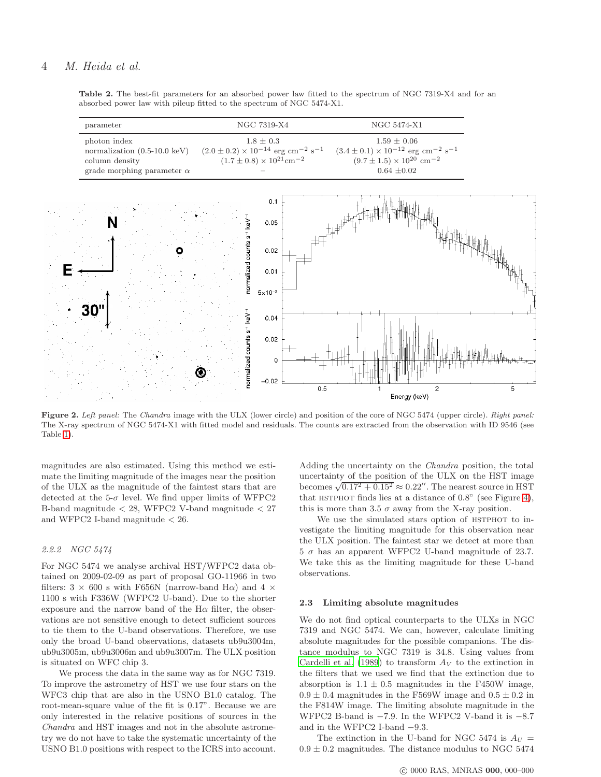Table 2. The best-fit parameters for an absorbed power law fitted to the spectrum of NGC 7319-X4 and for an absorbed power law with pileup fitted to the spectrum of NGC 5474-X1.

<span id="page-3-1"></span><span id="page-3-0"></span>

Figure 2. *Left panel:* The *Chandra* image with the ULX (lower circle) and position of the core of NGC 5474 (upper circle). *Right panel:* The X-ray spectrum of NGC 5474-X1 with fitted model and residuals. The counts are extracted from the observation with ID 9546 (see Table [1\)](#page-2-0).

magnitudes are also estimated. Using this method we estimate the limiting magnitude of the images near the position of the ULX as the magnitude of the faintest stars that are detected at the 5- $\sigma$  level. We find upper limits of WFPC2 B-band magnitude  $<$  28, WFPC2 V-band magnitude  $<$  27  $\,$ and WFPC2 I-band magnitude < 26.

## 2.2.2 NGC 5474

For NGC 5474 we analyse archival HST/WFPC2 data obtained on 2009-02-09 as part of proposal GO-11966 in two filters:  $3 \times 600$  s with F656N (narrow-band H $\alpha$ ) and  $4 \times$ 1100 s with F336W (WFPC2 U-band). Due to the shorter exposure and the narrow band of the  $H\alpha$  filter, the observations are not sensitive enough to detect sufficient sources to tie them to the U-band observations. Therefore, we use only the broad U-band observations, datasets ub9u3004m, ub9u3005m, ub9u3006m and ub9u3007m. The ULX position is situated on WFC chip 3.

We process the data in the same way as for NGC 7319. To improve the astrometry of HST we use four stars on the WFC3 chip that are also in the USNO B1.0 catalog. The root-mean-square value of the fit is 0.17". Because we are only interested in the relative positions of sources in the Chandra and HST images and not in the absolute astrometry we do not have to take the systematic uncertainty of the USNO B1.0 positions with respect to the ICRS into account.

Adding the uncertainty on the Chandra position, the total uncertainty of the position of the ULX on the HST image becomes  $\sqrt{0.17^2 + 0.15^2} \approx 0.22''$ . The nearest source in HST that HSTPHOT finds lies at a distance of  $0.8$ " (see Figure [4\)](#page-4-1), this is more than 3.5  $\sigma$  away from the X-ray position.

We use the simulated stars option of HSTPHOT to investigate the limiting magnitude for this observation near the ULX position. The faintest star we detect at more than  $5 \sigma$  has an apparent WFPC2 U-band magnitude of 23.7. We take this as the limiting magnitude for these U-band observations.

#### 2.3 Limiting absolute magnitudes

We do not find optical counterparts to the ULXs in NGC 7319 and NGC 5474. We can, however, calculate limiting absolute magnitudes for the possible companions. The distance modulus to NGC 7319 is 34.8. Using values from [Cardelli et al. \(1989](#page-7-24)) to transform  $A_V$  to the extinction in the filters that we used we find that the extinction due to absorption is  $1.1 \pm 0.5$  magnitudes in the F450W image,  $0.9 \pm 0.4$  magnitudes in the F569W image and  $0.5 \pm 0.2$  in the F814W image. The limiting absolute magnitude in the WFPC2 B-band is  $-7.9$ . In the WFPC2 V-band it is  $-8.7$ and in the WFPC2 I-band −9.3.

The extinction in the U-band for NGC 5474 is  $A_U =$  $0.9 \pm 0.2$  magnitudes. The distance modulus to NGC 5474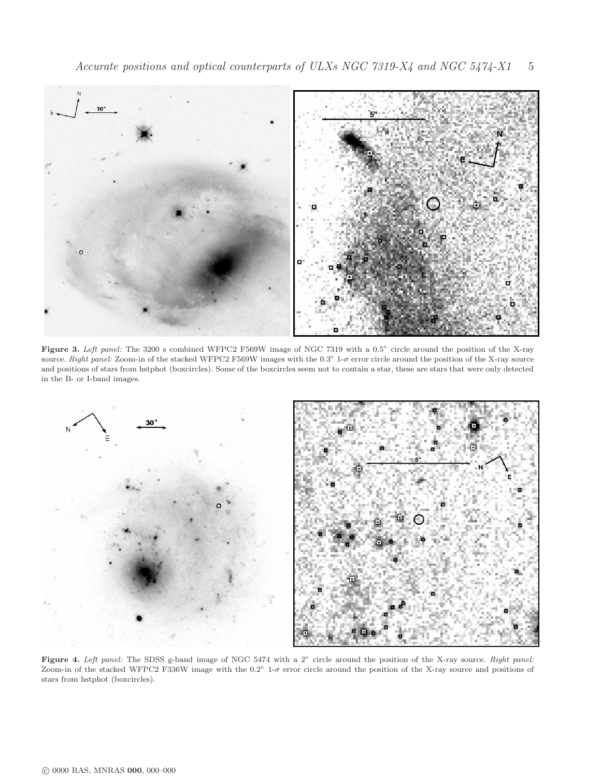<span id="page-4-0"></span>

Figure 3. *Left panel:* The 3200 s combined WFPC2 F569W image of NGC 7319 with a 0.5" circle around the position of the X-ray source. *Right panel:* Zoom-in of the stacked WFPC2 F569W images with the 0.3" 1-σ error circle around the position of the X-ray source and positions of stars from hstphot (boxcircles). Some of the boxcircles seem not to contain a star, these are stars that were only detected in the B- or I-band images.

<span id="page-4-1"></span>

Figure 4. *Left panel:* The SDSS g-band image of NGC 5474 with a 2" circle around the position of the X-ray source. *Right panel:* Zoom-in of the stacked WFPC2 F336W image with the 0.2" 1-σ error circle around the position of the X-ray source and positions of stars from hstphot (boxcircles).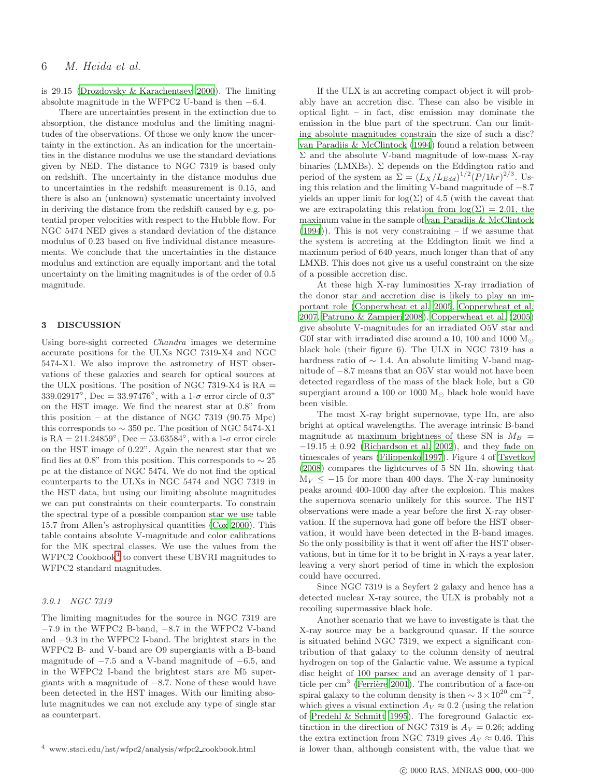is 29.15 [\(Drozdovsky & Karachentsev 2000](#page-7-19)). The limiting absolute magnitude in the WFPC2 U-band is then  $-6.4$ .

There are uncertainties present in the extinction due to absorption, the distance modulus and the limiting magnitudes of the observations. Of those we only know the uncertainty in the extinction. As an indication for the uncertainties in the distance modulus we use the standard deviations given by NED. The distance to NGC 7319 is based only on redshift. The uncertainty in the distance modulus due to uncertainties in the redshift measurement is 0.15, and there is also an (unknown) systematic uncertainty involved in deriving the distance from the redshift caused by e.g. potential proper velocities with respect to the Hubble flow. For NGC 5474 NED gives a standard deviation of the distance modulus of 0.23 based on five individual distance measurements. We conclude that the uncertainties in the distance modulus and extinction are equally important and the total uncertainty on the limiting magnitudes is of the order of 0.5 magnitude.

## 3 DISCUSSION

Using bore-sight corrected Chandra images we determine accurate positions for the ULXs NGC 7319-X4 and NGC 5474-X1. We also improve the astrometry of HST observations of these galaxies and search for optical sources at the ULX positions. The position of NGC 7319-X4 is  $RA =$ 339.02917<sup>°</sup>, Dec = 33.97476<sup>°</sup>, with a 1- $\sigma$  error circle of 0.3<sup>°</sup> on the HST image. We find the nearest star at 0.8" from this position – at the distance of NGC 7319  $(90.75 \text{ Mpc})$ this corresponds to  $\sim$  350 pc. The position of NGC 5474-X1 is  $RA = 211.24859^{\circ}$ ,  $Dec = 53.63584^{\circ}$ , with a 1- $\sigma$  error circle on the HST image of 0.22". Again the nearest star that we find lies at 0.8" from this position. This corresponds to  $\sim$  25 pc at the distance of NGC 5474. We do not find the optical counterparts to the ULXs in NGC 5474 and NGC 7319 in the HST data, but using our limiting absolute magnitudes we can put constraints on their counterparts. To constrain the spectral type of a possible companion star we use table 15.7 from Allen's astrophysical quantities [\(Cox 2000\)](#page-7-25). This table contains absolute V-magnitude and color calibrations for the MK spectral classes. We use the values from the WFPC2 Cookbook<sup>[4](#page-5-0)</sup> to convert these UBVRI magnitudes to WFPC2 standard magnitudes.

## 3.0.1 NGC 7319

The limiting magnitudes for the source in NGC 7319 are −7.9 in the WFPC2 B-band, −8.7 in the WFPC2 V-band and −9.3 in the WFPC2 I-band. The brightest stars in the WFPC2 B- and V-band are O9 supergiants with a B-band magnitude of  $-7.5$  and a V-band magnitude of  $-6.5$ , and in the WFPC2 I-band the brightest stars are M5 supergiants with a magnitude of −8.7. None of these would have been detected in the HST images. With our limiting absolute magnitudes we can not exclude any type of single star as counterpart.

If the ULX is an accreting compact object it will probably have an accretion disc. These can also be visible in optical light – in fact, disc emission may dominate the emission in the blue part of the spectrum. Can our limiting absolute magnitudes constrain the size of such a disc? [van Paradijs & McClintock \(1994](#page-7-26)) found a relation between  $\Sigma$  and the absolute V-band magnitude of low-mass X-ray binaries (LMXBs).  $\Sigma$  depends on the Eddington ratio and period of the system as  $\Sigma = (L_X/L_{Edd})^{1/2} (P/1hr)^{2/3}$ . Using this relation and the limiting V-band magnitude of −8.7 yields an upper limit for  $log(\Sigma)$  of 4.5 (with the caveat that we are extrapolating this relation from  $log(\Sigma) = 2.01$ , the maximum value in the sample of [van Paradijs & McClintock](#page-7-26) [\(1994](#page-7-26))). This is not very constraining – if we assume that the system is accreting at the Eddington limit we find a maximum period of 640 years, much longer than that of any LMXB. This does not give us a useful constraint on the size of a possible accretion disc.

At these high X-ray luminosities X-ray irradiation of the donor star and accretion disc is likely to play an important role [\(Copperwheat et al. 2005,](#page-7-27) [Copperwheat et al.](#page-7-28) [2007](#page-7-28), [Patruno & Zampieri 2008\)](#page-7-29). [Copperwheat et al. \(2005](#page-7-27)) give absolute V-magnitudes for an irradiated O5V star and G0I star with irradiated disc around a 10, 100 and 1000  $M_{\odot}$ black hole (their figure 6). The ULX in NGC 7319 has a hardness ratio of ∼ 1.4. An absolute limiting V-band magnitude of −8.7 means that an O5V star would not have been detected regardless of the mass of the black hole, but a G0 supergiant around a 100 or 1000  $M_{\odot}$  black hole would have been visible.

The most X-ray bright supernovae, type IIn, are also bright at optical wavelengths. The average intrinsic B-band magnitude at maximum brightness of these SN is  $M_B$  =  $-19.15 \pm 0.92$  [\(Richardson et al. 2002\)](#page-7-30), and they fade on timescales of years [\(Filippenko 1997\)](#page-7-31). Figure 4 of [Tsvetkov](#page-7-32) [\(2008](#page-7-32)) compares the lightcurves of 5 SN IIn, showing that  $M_V < -15$  for more than 400 days. The X-ray luminosity peaks around 400-1000 day after the explosion. This makes the supernova scenario unlikely for this source. The HST observations were made a year before the first X-ray observation. If the supernova had gone off before the HST observation, it would have been detected in the B-band images. So the only possibility is that it went off after the HST observations, but in time for it to be bright in X-rays a year later, leaving a very short period of time in which the explosion could have occurred.

Since NGC 7319 is a Seyfert 2 galaxy and hence has a detected nuclear X-ray source, the ULX is probably not a recoiling supermassive black hole.

Another scenario that we have to investigate is that the X-ray source may be a background quasar. If the source is situated behind NGC 7319, we expect a significant contribution of that galaxy to the column density of neutral hydrogen on top of the Galactic value. We assume a typical disc height of 100 parsec and an average density of 1 particle per cm<sup>3</sup> (Ferrière 2001). The contribution of a face-on spiral galaxy to the column density is then  $\sim 3 \times 10^{20} \text{ cm}^{-2}$ , which gives a visual extinction  $A_V \approx 0.2$  (using the relation of [Predehl & Schmitt 1995](#page-7-16)). The foreground Galactic extinction in the direction of NGC 7319 is  $A_V = 0.26$ ; adding the extra extinction from NGC 7319 gives  $A_V \approx 0.46$ . This is lower than, although consistent with, the value that we

<span id="page-5-0"></span> $^4\,$ www.stsci.edu/hst/wfpc2/analysis/wfpc2\_cookbook.html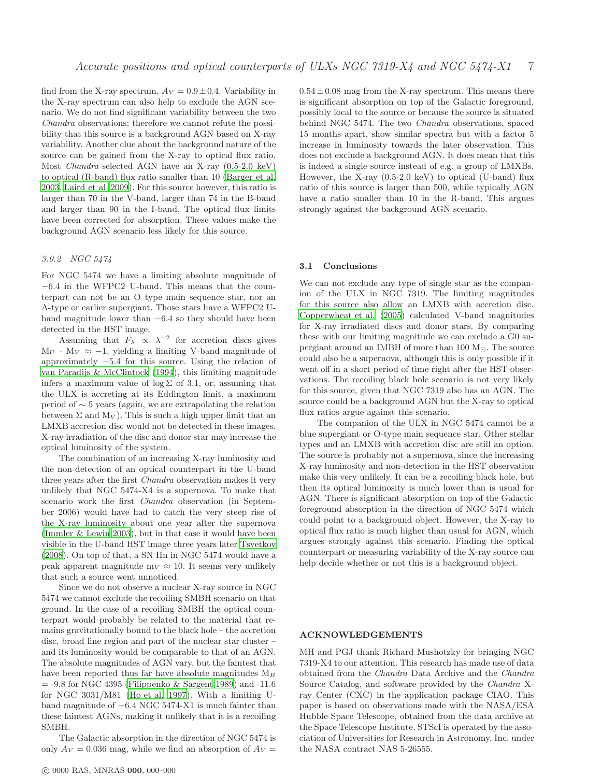find from the X-ray spectrum,  $A_V = 0.9 \pm 0.4$ . Variability in the X-ray spectrum can also help to exclude the AGN scenario. We do not find significant variability between the two Chandra observations; therefore we cannot refute the possibility that this source is a background AGN based on X-ray variability. Another clue about the background nature of the source can be gained from the X-ray to optical flux ratio. Most Chandra-selected AGN have an X-ray (0.5-2.0 keV) to optical (R-band) flux ratio smaller than 10 [\(Barger et al.](#page-7-34) [2003](#page-7-34), [Laird et al. 2009](#page-7-35)). For this source however, this ratio is larger than 70 in the V-band, larger than 74 in the B-band and larger than 90 in the I-band. The optical flux limits have been corrected for absorption. These values make the background AGN scenario less likely for this source.

## 3.0.2 NGC 5474

For NGC 5474 we have a limiting absolute magnitude of −6.4 in the WFPC2 U-band. This means that the counterpart can not be an O type main sequence star, nor an A-type or earlier supergiant. Those stars have a WFPC2 Uband magnitude lower than −6.4 so they should have been detected in the HST image.

Assuming that  $F_{\lambda} \propto \lambda^{-2}$  for accretion discs gives  $M_U$  -  $M_V \approx -1$ , yielding a limiting V-band magnitude of approximately −5.4 for this source. Using the relation of [van Paradijs & McClintock \(1994](#page-7-26)), this limiting magnitude infers a maximum value of  $log \Sigma$  of 3.1, or, assuming that the ULX is accreting at its Eddington limit, a maximum period of ∼ 5 years (again, we are extrapolating the relation between  $\Sigma$  and  $M_V$ ). This is such a high upper limit that an LMXB accretion disc would not be detected in these images. X-ray irradiation of the disc and donor star may increase the optical luminosity of the system.

The combination of an increasing X-ray luminosity and the non-detection of an optical counterpart in the U-band three years after the first Chandra observation makes it very unlikely that NGC 5474-X4 is a supernova. To make that scenario work the first Chandra observation (in September 2006) would have had to catch the very steep rise of the X-ray luminosity about one year after the supernova [\(Immler & Lewin 2003](#page-7-8)), but in that case it would have been visible in the U-band HST image three years later [Tsvetkov](#page-7-32) [\(2008](#page-7-32)). On top of that, a SN IIn in NGC 5474 would have a peak apparent magnitude  $m_V \approx 10$ . It seems very unlikely that such a source went unnoticed.

Since we do not observe a nuclear X-ray source in NGC 5474 we cannot exclude the recoiling SMBH scenario on that ground. In the case of a recoiling SMBH the optical counterpart would probably be related to the material that remains gravitationally bound to the black hole – the accretion disc, broad line region and part of the nuclear star cluster – and its luminosity would be comparable to that of an AGN. The absolute magnitudes of AGN vary, but the faintest that have been reported thus far have absolute magnitudes  $M_B$  $=$  -9.8 for NGC 4395 [\(Filippenko & Sargent 1989](#page-7-36)) and -11.6 for NGC 3031/M81 [\(Ho et al. 1997](#page-7-37)). With a limiting Uband magnitude of −6.4 NGC 5474-X1 is much fainter than these faintest AGNs, making it unlikely that it is a recoiling SMBH.

The Galactic absorption in the direction of NGC 5474 is only  $A_V = 0.036$  mag, while we find an absorption of  $A_V =$   $0.54 \pm 0.08$  mag from the X-ray spectrum. This means there is significant absorption on top of the Galactic foreground, possibly local to the source or because the source is situated behind NGC 5474. The two Chandra observations, spaced 15 months apart, show similar spectra but with a factor 5 increase in luminosity towards the later observation. This does not exclude a background AGN. It does mean that this is indeed a single source instead of e.g. a group of LMXBs. However, the X-ray (0.5-2.0 keV) to optical (U-band) flux ratio of this source is larger than 500, while typically AGN have a ratio smaller than 10 in the R-band. This argues strongly against the background AGN scenario.

#### 3.1 Conclusions

We can not exclude any type of single star as the companion of the ULX in NGC 7319. The limiting magnitudes for this source also allow an LMXB with accretion disc. [Copperwheat et al. \(2005](#page-7-27)) calculated V-band magnitudes for X-ray irradiated discs and donor stars. By comparing these with our limiting magnitude we can exclude a G0 supergiant around an IMBH of more than 100  $M_{\odot}$ . The source could also be a supernova, although this is only possible if it went off in a short period of time right after the HST observations. The recoiling black hole scenario is not very likely for this source, given that NGC 7319 also has an AGN. The source could be a background AGN but the X-ray to optical flux ratios argue against this scenario.

The companion of the ULX in NGC 5474 cannot be a blue supergiant or O-type main sequence star. Other stellar types and an LMXB with accretion disc are still an option. The source is probably not a supernova, since the increasing X-ray luminosity and non-detection in the HST observation make this very unlikely. It can be a recoiling black hole, but then its optical luminosity is much lower than is usual for AGN. There is significant absorption on top of the Galactic foreground absorption in the direction of NGC 5474 which could point to a background object. However, the X-ray to optical flux ratio is much higher than usual for AGN, which argues strongly against this scenario. Finding the optical counterpart or measuring variability of the X-ray source can help decide whether or not this is a background object.

## ACKNOWLEDGEMENTS

MH and PGJ thank Richard Mushotzky for bringing NGC 7319-X4 to our attention. This research has made use of data obtained from the Chandra Data Archive and the Chandra Source Catalog, and software provided by the Chandra Xray Center (CXC) in the application package CIAO. This paper is based on observations made with the NASA/ESA Hubble Space Telescope, obtained from the data archive at the Space Telescope Institute. STScI is operated by the association of Universities for Research in Astronomy, Inc. under the NASA contract NAS 5-26555.